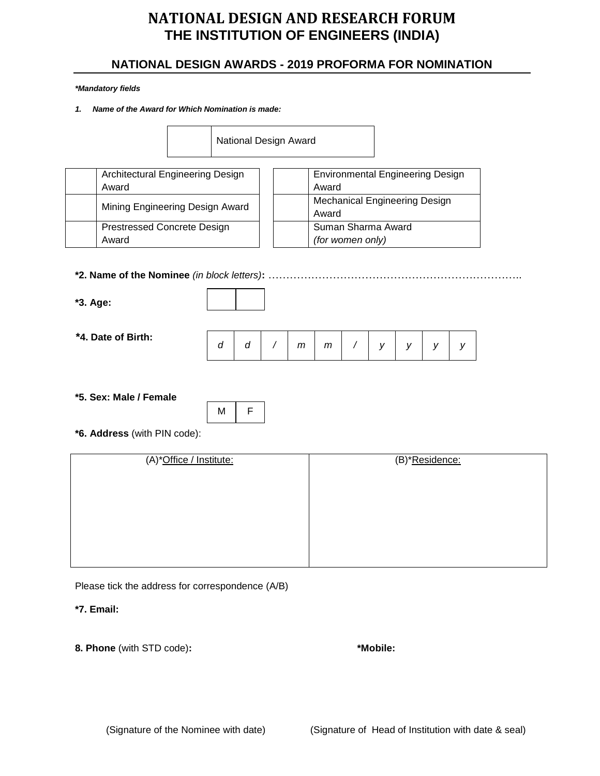## **NATIONAL DESIGN AWARDS - 2019 PROFORMA FOR NOMINATION**

#### *\*Mandatory fields*

*1. Name of the Award for Which Nomination is made:*

|                                    | National Design Award                         |
|------------------------------------|-----------------------------------------------|
| Architectural Engineering Design   | <b>Environmental Engineering Design</b>       |
| Award                              | Award                                         |
| Mining Engineering Design Award    | <b>Mechanical Engineering Design</b><br>Award |
| <b>Prestressed Concrete Design</b> | Suman Sharma Award                            |
| Award                              | (for women only)                              |

#### **\*2. Name of the Nominee** *(in block letters)***:** ……………………………………………………………..

**\*3. Age:**

- 
- **\*4. Date of Birth:**

|  |  |  |  |  | d   /   m   m   /   y   y   y   ' |  |  |  |  |  |
|--|--|--|--|--|-----------------------------------|--|--|--|--|--|
|--|--|--|--|--|-----------------------------------|--|--|--|--|--|

**\*5. Sex: Male / Female** 



**\*6. Address** (with PIN code):

| (A)*Office / Institute: | (B)*Residence: |
|-------------------------|----------------|
|                         |                |
|                         |                |
|                         |                |
|                         |                |
|                         |                |
|                         |                |
|                         |                |
|                         |                |

Please tick the address for correspondence (A/B)

**\*7. Email:**

**8. Phone** (with STD code)**: \*Mobile:**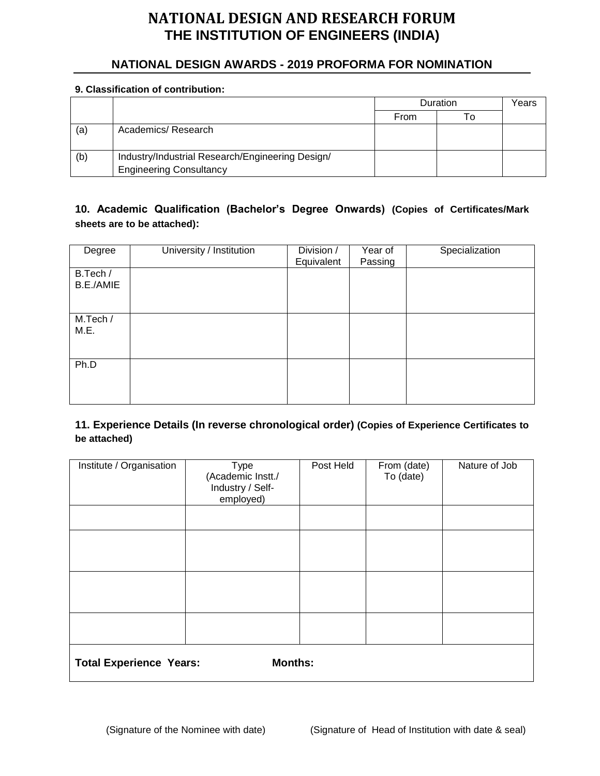## **NATIONAL DESIGN AWARDS - 2019 PROFORMA FOR NOMINATION**

#### **9. Classification of contribution:**

|     |                                                  |      | Duration | Years |
|-----|--------------------------------------------------|------|----------|-------|
|     |                                                  | From |          |       |
| (a) | Academics/Research                               |      |          |       |
| (b) | Industry/Industrial Research/Engineering Design/ |      |          |       |
|     | <b>Engineering Consultancy</b>                   |      |          |       |

### **10. Academic Qualification (Bachelor's Degree Onwards) (Copies of Certificates/Mark sheets are to be attached):**

| Degree                | University / Institution | Division /<br>Equivalent | Year of<br>Passing | Specialization |
|-----------------------|--------------------------|--------------------------|--------------------|----------------|
| B.Tech /<br>B.E./AMIE |                          |                          |                    |                |
| M.Tech /<br>M.E.      |                          |                          |                    |                |
| Ph.D                  |                          |                          |                    |                |

#### **11. Experience Details (In reverse chronological order) (Copies of Experience Certificates to be attached)**

| Institute / Organisation                         | <b>Type</b><br>(Academic Instt./<br>Industry / Self-<br>employed) | Post Held | From (date)<br>To (date) | Nature of Job |
|--------------------------------------------------|-------------------------------------------------------------------|-----------|--------------------------|---------------|
|                                                  |                                                                   |           |                          |               |
|                                                  |                                                                   |           |                          |               |
|                                                  |                                                                   |           |                          |               |
|                                                  |                                                                   |           |                          |               |
|                                                  |                                                                   |           |                          |               |
| <b>Months:</b><br><b>Total Experience Years:</b> |                                                                   |           |                          |               |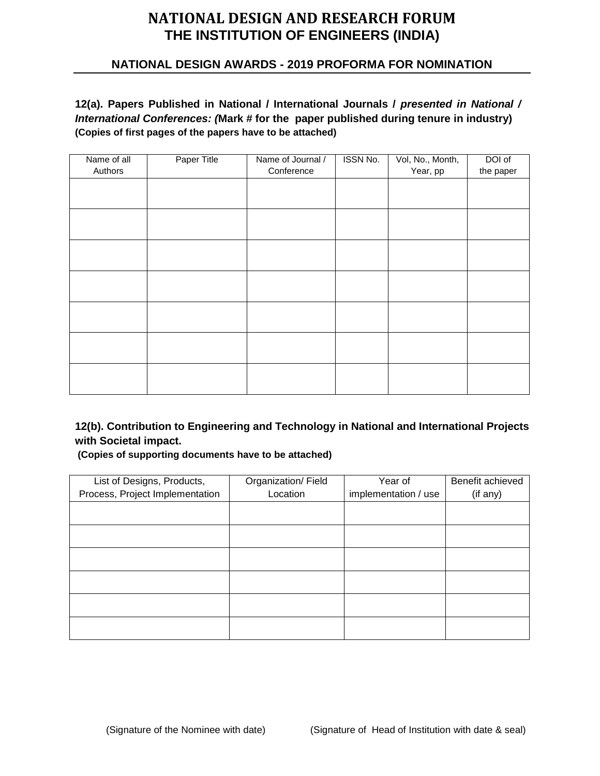### **NATIONAL DESIGN AWARDS - 2019 PROFORMA FOR NOMINATION**

**12(a). Papers Published in National / International Journals /** *presented in National / International Conferences: (***Mark # for the paper published during tenure in industry) (Copies of first pages of the papers have to be attached)**

| Name of all | Paper Title | Name of Journal / | <b>ISSN No.</b> | Vol, No., Month, | DOI of    |
|-------------|-------------|-------------------|-----------------|------------------|-----------|
| Authors     |             | Conference        |                 | Year, pp         | the paper |
|             |             |                   |                 |                  |           |
|             |             |                   |                 |                  |           |
|             |             |                   |                 |                  |           |
|             |             |                   |                 |                  |           |
|             |             |                   |                 |                  |           |
|             |             |                   |                 |                  |           |
|             |             |                   |                 |                  |           |
|             |             |                   |                 |                  |           |
|             |             |                   |                 |                  |           |
|             |             |                   |                 |                  |           |
|             |             |                   |                 |                  |           |
|             |             |                   |                 |                  |           |
|             |             |                   |                 |                  |           |
|             |             |                   |                 |                  |           |
|             |             |                   |                 |                  |           |

**12(b). Contribution to Engineering and Technology in National and International Projects with Societal impact.** 

**(Copies of supporting documents have to be attached)**

| List of Designs, Products,      | Organization/Field | Year of              | Benefit achieved |
|---------------------------------|--------------------|----------------------|------------------|
| Process, Project Implementation | Location           | implementation / use | (if any)         |
|                                 |                    |                      |                  |
|                                 |                    |                      |                  |
|                                 |                    |                      |                  |
|                                 |                    |                      |                  |
|                                 |                    |                      |                  |
|                                 |                    |                      |                  |
|                                 |                    |                      |                  |
|                                 |                    |                      |                  |
|                                 |                    |                      |                  |
|                                 |                    |                      |                  |
|                                 |                    |                      |                  |
|                                 |                    |                      |                  |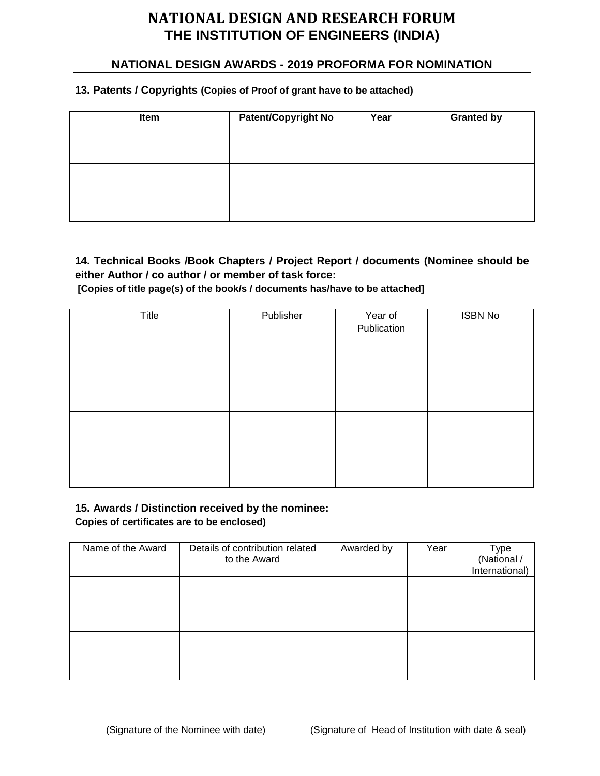### **NATIONAL DESIGN AWARDS - 2019 PROFORMA FOR NOMINATION**

#### **13. Patents / Copyrights (Copies of Proof of grant have to be attached)**

| Item | <b>Patent/Copyright No</b> | Year | <b>Granted by</b> |
|------|----------------------------|------|-------------------|
|      |                            |      |                   |
|      |                            |      |                   |
|      |                            |      |                   |
|      |                            |      |                   |
|      |                            |      |                   |

## **14. Technical Books /Book Chapters / Project Report / documents (Nominee should be either Author / co author / or member of task force:**

**[Copies of title page(s) of the book/s / documents has/have to be attached]**

| Title | Publisher | Year of<br>Publication | <b>ISBN No</b> |
|-------|-----------|------------------------|----------------|
|       |           |                        |                |
|       |           |                        |                |
|       |           |                        |                |
|       |           |                        |                |
|       |           |                        |                |
|       |           |                        |                |

#### **15. Awards / Distinction received by the nominee:**

**Copies of certificates are to be enclosed)**

| Name of the Award | Details of contribution related<br>to the Award | Awarded by | Year | Type<br>(National /<br>International) |
|-------------------|-------------------------------------------------|------------|------|---------------------------------------|
|                   |                                                 |            |      |                                       |
|                   |                                                 |            |      |                                       |
|                   |                                                 |            |      |                                       |
|                   |                                                 |            |      |                                       |